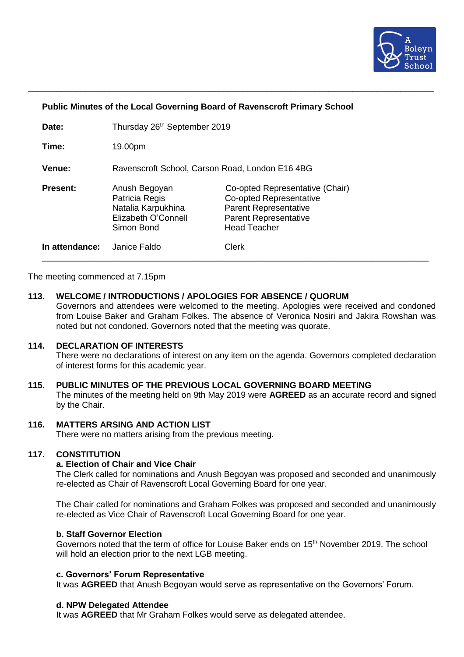

## **Public Minutes of the Local Governing Board of Ravenscroft Primary School**

\_\_\_\_\_\_\_\_\_\_\_\_\_\_\_\_\_\_\_\_\_\_\_\_\_\_\_\_\_\_\_\_\_\_\_\_\_\_\_\_\_\_\_\_\_\_\_\_\_\_\_\_\_\_\_\_\_\_\_\_\_\_\_\_\_\_\_\_\_\_\_\_\_\_\_\_\_\_\_\_\_\_\_\_\_

| Date:           | Thursday 26 <sup>th</sup> September 2019                                                   |                                                                                                                                                   |
|-----------------|--------------------------------------------------------------------------------------------|---------------------------------------------------------------------------------------------------------------------------------------------------|
| Time:           | 19.00pm                                                                                    |                                                                                                                                                   |
| <b>Venue:</b>   | Ravenscroft School, Carson Road, London E16 4BG                                            |                                                                                                                                                   |
| <b>Present:</b> | Anush Begoyan<br>Patricia Regis<br>Natalia Karpukhina<br>Elizabeth O'Connell<br>Simon Bond | Co-opted Representative (Chair)<br>Co-opted Representative<br><b>Parent Representative</b><br><b>Parent Representative</b><br><b>Head Teacher</b> |
| In attendance:  | Janice Faldo                                                                               | <b>Clerk</b>                                                                                                                                      |

The meeting commenced at 7.15pm

#### **113. WELCOME / INTRODUCTIONS / APOLOGIES FOR ABSENCE / QUORUM**

Governors and attendees were welcomed to the meeting. Apologies were received and condoned from Louise Baker and Graham Folkes. The absence of Veronica Nosiri and Jakira Rowshan was noted but not condoned. Governors noted that the meeting was quorate.

### **114. DECLARATION OF INTERESTS**

There were no declarations of interest on any item on the agenda. Governors completed declaration of interest forms for this academic year.

#### **115. PUBLIC MINUTES OF THE PREVIOUS LOCAL GOVERNING BOARD MEETING**

The minutes of the meeting held on 9th May 2019 were **AGREED** as an accurate record and signed by the Chair.

## **116. MATTERS ARSING AND ACTION LIST**

There were no matters arising from the previous meeting.

# **117. CONSTITUTION**

#### **a. Election of Chair and Vice Chair**

The Clerk called for nominations and Anush Begoyan was proposed and seconded and unanimously re-elected as Chair of Ravenscroft Local Governing Board for one year.

The Chair called for nominations and Graham Folkes was proposed and seconded and unanimously re-elected as Vice Chair of Ravenscroft Local Governing Board for one year.

## **b. Staff Governor Election**

Governors noted that the term of office for Louise Baker ends on 15<sup>th</sup> November 2019. The school will hold an election prior to the next LGB meeting.

#### **c. Governors' Forum Representative**

It was **AGREED** that Anush Begoyan would serve as representative on the Governors' Forum.

#### **d. NPW Delegated Attendee**

It was **AGREED** that Mr Graham Folkes would serve as delegated attendee.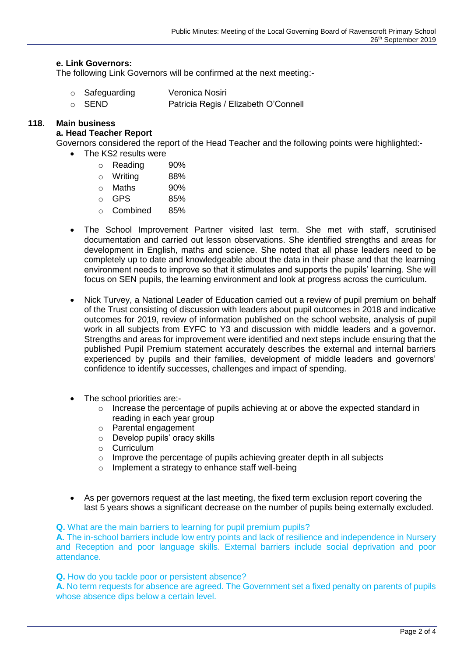# **e. Link Governors:**

The following Link Governors will be confirmed at the next meeting:-

- o Safeguarding Veronica Nosiri
- o SEND Patricia Regis / Elizabeth O'Connell

# **118. Main business**

# **a. Head Teacher Report**

Governors considered the report of the Head Teacher and the following points were highlighted:-

- The KS2 results were
	- o Reading 90%
	- o Writing 88%
	- o Maths 90%
	- $\circ$  GPS 85%
	- o Combined 85%
- The School Improvement Partner visited last term. She met with staff, scrutinised documentation and carried out lesson observations. She identified strengths and areas for development in English, maths and science. She noted that all phase leaders need to be completely up to date and knowledgeable about the data in their phase and that the learning environment needs to improve so that it stimulates and supports the pupils' learning. She will focus on SEN pupils, the learning environment and look at progress across the curriculum.
- Nick Turvey, a National Leader of Education carried out a review of pupil premium on behalf of the Trust consisting of discussion with leaders about pupil outcomes in 2018 and indicative outcomes for 2019, review of information published on the school website, analysis of pupil work in all subjects from EYFC to Y3 and discussion with middle leaders and a governor. Strengths and areas for improvement were identified and next steps include ensuring that the published Pupil Premium statement accurately describes the external and internal barriers experienced by pupils and their families, development of middle leaders and governors' confidence to identify successes, challenges and impact of spending.
- The school priorities are:-
	- $\circ$  Increase the percentage of pupils achieving at or above the expected standard in reading in each year group
	- o Parental engagement
	- o Develop pupils' oracy skills
	- o Curriculum
	- o Improve the percentage of pupils achieving greater depth in all subjects
	- o Implement a strategy to enhance staff well-being
- As per governors request at the last meeting, the fixed term exclusion report covering the last 5 years shows a significant decrease on the number of pupils being externally excluded.

**Q.** What are the main barriers to learning for pupil premium pupils?

**A.** The in-school barriers include low entry points and lack of resilience and independence in Nursery and Reception and poor language skills. External barriers include social deprivation and poor attendance.

**Q.** How do you tackle poor or persistent absence?

**A.** No term requests for absence are agreed. The Government set a fixed penalty on parents of pupils whose absence dips below a certain level.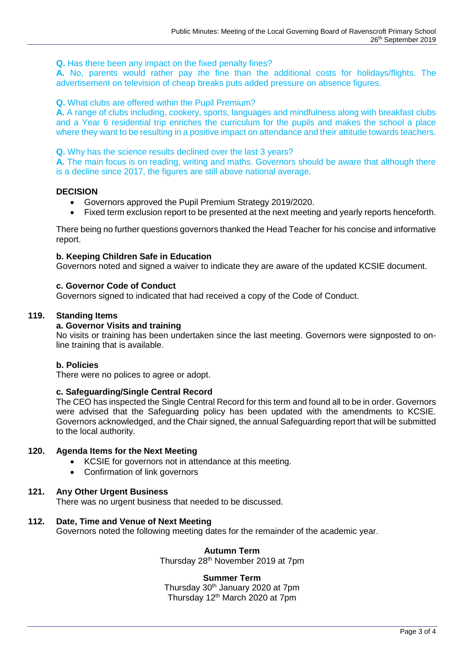**Q.** Has there been any impact on the fixed penalty fines?

**A.** No, parents would rather pay the fine than the additional costs for holidays/flights. The advertisement on television of cheap breaks puts added pressure on absence figures.

**Q.** What clubs are offered within the Pupil Premium?

**A.** A range of clubs including, cookery, sports, languages and mindfulness along with breakfast clubs and a Year 6 residential trip enriches the curriculum for the pupils and makes the school a place where they want to be resulting in a positive impact on attendance and their attitude towards teachers.

**Q.** Why has the science results declined over the last 3 years?

**A.** The main focus is on reading, writing and maths. Governors should be aware that although there is a decline since 2017, the figures are still above national average.

## **DECISION**

- Governors approved the Pupil Premium Strategy 2019/2020.
- Fixed term exclusion report to be presented at the next meeting and yearly reports henceforth.

There being no further questions governors thanked the Head Teacher for his concise and informative report.

## **b. Keeping Children Safe in Education**

Governors noted and signed a waiver to indicate they are aware of the updated KCSIE document.

# **c. Governor Code of Conduct**

Governors signed to indicated that had received a copy of the Code of Conduct.

## **119. Standing Items**

## **a. Governor Visits and training**

No visits or training has been undertaken since the last meeting. Governors were signposted to online training that is available.

## **b. Policies**

There were no polices to agree or adopt.

### **c. Safeguarding/Single Central Record**

The CEO has inspected the Single Central Record for this term and found all to be in order. Governors were advised that the Safeguarding policy has been updated with the amendments to KCSIE. Governors acknowledged, and the Chair signed, the annual Safeguarding report that will be submitted to the local authority.

## **120. Agenda Items for the Next Meeting**

- KCSIE for governors not in attendance at this meeting.
- Confirmation of link governors

# **121. Any Other Urgent Business**

There was no urgent business that needed to be discussed.

## **112. Date, Time and Venue of Next Meeting**

Governors noted the following meeting dates for the remainder of the academic year.

### **Autumn Term**

Thursday 28th November 2019 at 7pm

### **Summer Term**

Thursday 30th January 2020 at 7pm Thursday 12<sup>th</sup> March 2020 at 7pm